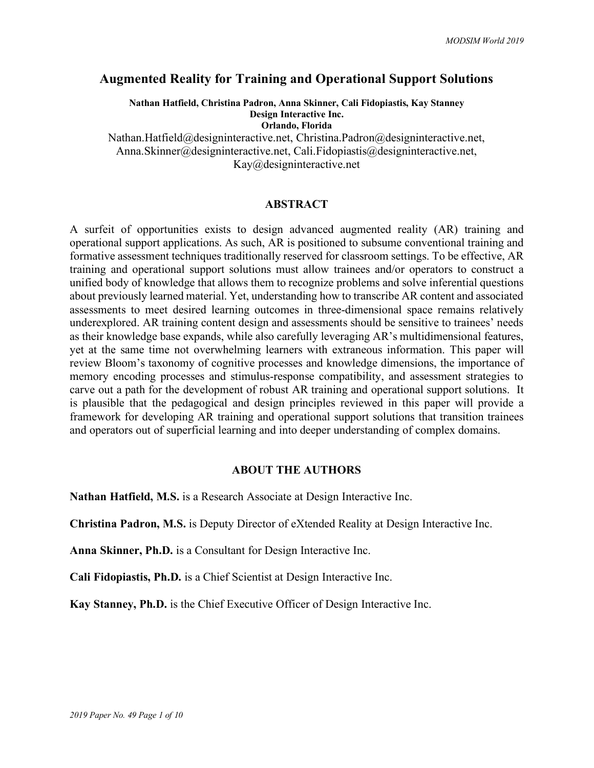# **Augmented Reality for Training and Operational Support Solutions**

**Nathan Hatfield, Christina Padron, Anna Skinner, Cali Fidopiastis, Kay Stanney Design Interactive Inc. Orlando, Florida** Nathan.Hatfield@designinteractive.net, Christina.Padron@designinteractive.net,

Anna.Skinner@designinteractive.net, Cali.Fidopiastis@designinteractive.net, Kay@designinteractive.net

### **ABSTRACT**

A surfeit of opportunities exists to design advanced augmented reality (AR) training and operational support applications. As such, AR is positioned to subsume conventional training and formative assessment techniques traditionally reserved for classroom settings. To be effective, AR training and operational support solutions must allow trainees and/or operators to construct a unified body of knowledge that allows them to recognize problems and solve inferential questions about previously learned material. Yet, understanding how to transcribe AR content and associated assessments to meet desired learning outcomes in three-dimensional space remains relatively underexplored. AR training content design and assessments should be sensitive to trainees' needs as their knowledge base expands, while also carefully leveraging AR's multidimensional features, yet at the same time not overwhelming learners with extraneous information. This paper will review Bloom's taxonomy of cognitive processes and knowledge dimensions, the importance of memory encoding processes and stimulus-response compatibility, and assessment strategies to carve out a path for the development of robust AR training and operational support solutions. It is plausible that the pedagogical and design principles reviewed in this paper will provide a framework for developing AR training and operational support solutions that transition trainees and operators out of superficial learning and into deeper understanding of complex domains.

#### **ABOUT THE AUTHORS**

**Nathan Hatfield, M.S.** is a Research Associate at Design Interactive Inc.

**Christina Padron, M.S.** is Deputy Director of eXtended Reality at Design Interactive Inc.

**Anna Skinner, Ph.D.** is a Consultant for Design Interactive Inc.

**Cali Fidopiastis, Ph.D.** is a Chief Scientist at Design Interactive Inc.

**Kay Stanney, Ph.D.** is the Chief Executive Officer of Design Interactive Inc.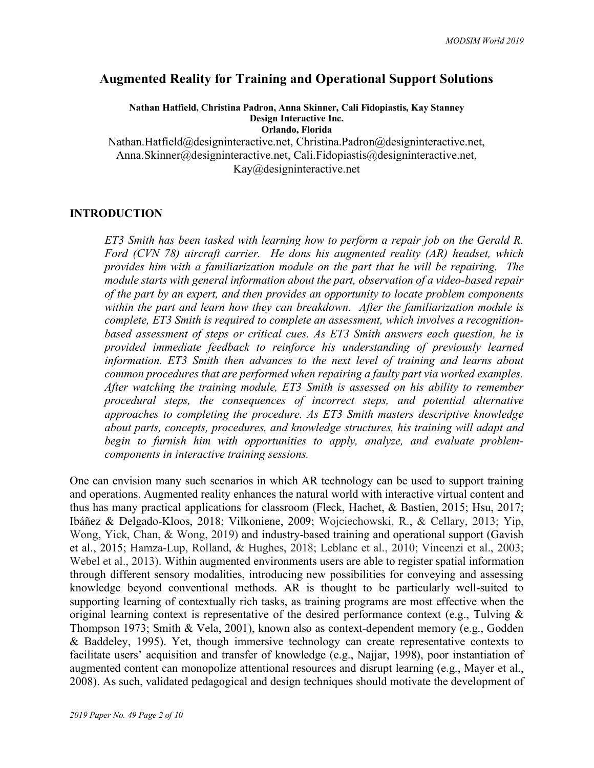# **Augmented Reality for Training and Operational Support Solutions**

**Nathan Hatfield, Christina Padron, Anna Skinner, Cali Fidopiastis, Kay Stanney Design Interactive Inc. Orlando, Florida**

Nathan.Hatfield@designinteractive.net, Christina.Padron@designinteractive.net, Anna.Skinner@designinteractive.net, Cali.Fidopiastis@designinteractive.net, Kay@designinteractive.net

## **INTRODUCTION**

*ET3 Smith has been tasked with learning how to perform a repair job on the Gerald R. Ford (CVN 78) aircraft carrier. He dons his augmented reality (AR) headset, which provides him with a familiarization module on the part that he will be repairing. The module starts with general information about the part, observation of a video-based repair of the part by an expert, and then provides an opportunity to locate problem components within the part and learn how they can breakdown. After the familiarization module is complete, ET3 Smith is required to complete an assessment, which involves a recognitionbased assessment of steps or critical cues. As ET3 Smith answers each question, he is provided immediate feedback to reinforce his understanding of previously learned information. ET3 Smith then advances to the next level of training and learns about common procedures that are performed when repairing a faulty part via worked examples. After watching the training module, ET3 Smith is assessed on his ability to remember procedural steps, the consequences of incorrect steps, and potential alternative approaches to completing the procedure. As ET3 Smith masters descriptive knowledge about parts, concepts, procedures, and knowledge structures, his training will adapt and begin to furnish him with opportunities to apply, analyze, and evaluate problemcomponents in interactive training sessions.* 

One can envision many such scenarios in which AR technology can be used to support training and operations. Augmented reality enhances the natural world with interactive virtual content and thus has many practical applications for classroom (Fleck, Hachet, & Bastien, 2015; Hsu, 2017; Ibáñez & Delgado-Kloos, 2018; Vilkoniene, 2009; Wojciechowski, R., & Cellary, 2013; Yip, Wong, Yick, Chan, & Wong, 2019) and industry-based training and operational support (Gavish et al., 2015; Hamza-Lup, Rolland, & Hughes, 2018; Leblanc et al., 2010; Vincenzi et al., 2003; Webel et al., 2013). Within augmented environments users are able to register spatial information through different sensory modalities, introducing new possibilities for conveying and assessing knowledge beyond conventional methods. AR is thought to be particularly well-suited to supporting learning of contextually rich tasks, as training programs are most effective when the original learning context is representative of the desired performance context (e.g., Tulving & Thompson 1973; Smith & Vela, 2001), known also as context-dependent memory (e.g., Godden & Baddeley, 1995). Yet, though immersive technology can create representative contexts to facilitate users' acquisition and transfer of knowledge (e.g., Najjar, 1998), poor instantiation of augmented content can monopolize attentional resources and disrupt learning (e.g., Mayer et al., 2008). As such, validated pedagogical and design techniques should motivate the development of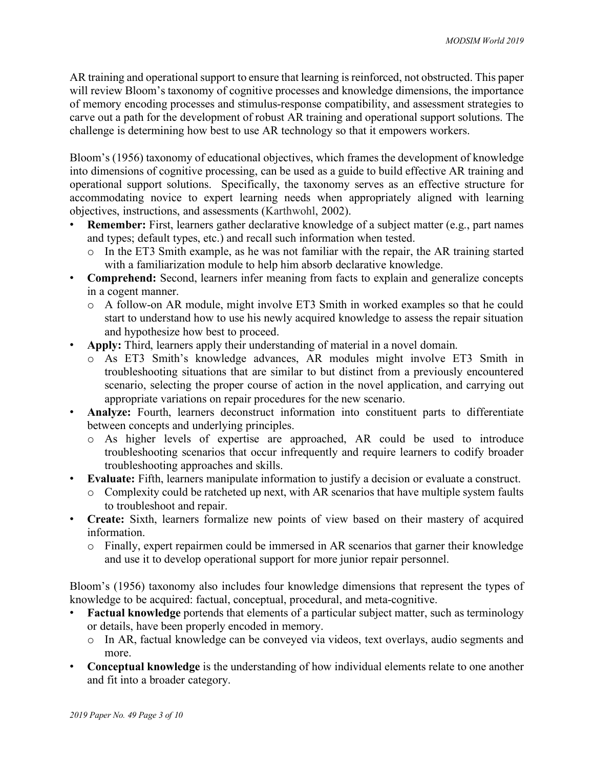AR training and operational support to ensure that learning is reinforced, not obstructed. This paper will review Bloom's taxonomy of cognitive processes and knowledge dimensions, the importance of memory encoding processes and stimulus-response compatibility, and assessment strategies to carve out a path for the development of robust AR training and operational support solutions. The challenge is determining how best to use AR technology so that it empowers workers.

Bloom's (1956) taxonomy of educational objectives, which frames the development of knowledge into dimensions of cognitive processing, can be used as a guide to build effective AR training and operational support solutions. Specifically, the taxonomy serves as an effective structure for accommodating novice to expert learning needs when appropriately aligned with learning objectives, instructions, and assessments (Karthwohl, 2002).

- **Remember:** First, learners gather declarative knowledge of a subject matter (e.g., part names and types; default types, etc.) and recall such information when tested.
	- o In the ET3 Smith example, as he was not familiar with the repair, the AR training started with a familiarization module to help him absorb declarative knowledge.
- **Comprehend:** Second, learners infer meaning from facts to explain and generalize concepts in a cogent manner.
	- o A follow-on AR module, might involve ET3 Smith in worked examples so that he could start to understand how to use his newly acquired knowledge to assess the repair situation and hypothesize how best to proceed.
- **Apply:** Third, learners apply their understanding of material in a novel domain.
	- o As ET3 Smith's knowledge advances, AR modules might involve ET3 Smith in troubleshooting situations that are similar to but distinct from a previously encountered scenario, selecting the proper course of action in the novel application, and carrying out appropriate variations on repair procedures for the new scenario.
- **Analyze:** Fourth, learners deconstruct information into constituent parts to differentiate between concepts and underlying principles.
	- o As higher levels of expertise are approached, AR could be used to introduce troubleshooting scenarios that occur infrequently and require learners to codify broader troubleshooting approaches and skills.
- **Evaluate:** Fifth, learners manipulate information to justify a decision or evaluate a construct.
	- o Complexity could be ratcheted up next, with AR scenarios that have multiple system faults to troubleshoot and repair.
- **Create:** Sixth, learners formalize new points of view based on their mastery of acquired information.
	- o Finally, expert repairmen could be immersed in AR scenarios that garner their knowledge and use it to develop operational support for more junior repair personnel.

Bloom's (1956) taxonomy also includes four knowledge dimensions that represent the types of knowledge to be acquired: factual, conceptual, procedural, and meta-cognitive.

- **Factual knowledge** portends that elements of a particular subject matter, such as terminology or details, have been properly encoded in memory.
	- o In AR, factual knowledge can be conveyed via videos, text overlays, audio segments and more.
- **Conceptual knowledge** is the understanding of how individual elements relate to one another and fit into a broader category.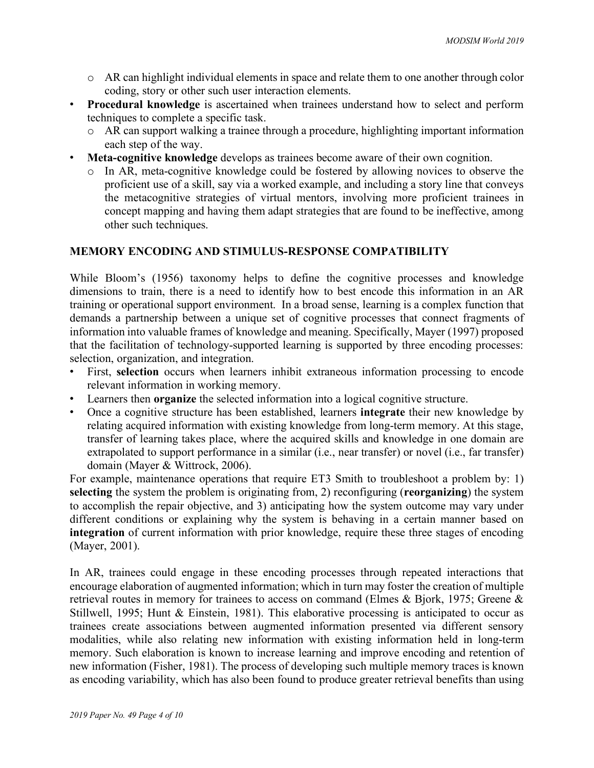- o AR can highlight individual elements in space and relate them to one another through color coding, story or other such user interaction elements.
- **Procedural knowledge** is ascertained when trainees understand how to select and perform techniques to complete a specific task.
	- o AR can support walking a trainee through a procedure, highlighting important information each step of the way.
- **Meta-cognitive knowledge** develops as trainees become aware of their own cognition.
	- In AR, meta-cognitive knowledge could be fostered by allowing novices to observe the proficient use of a skill, say via a worked example, and including a story line that conveys the metacognitive strategies of virtual mentors, involving more proficient trainees in concept mapping and having them adapt strategies that are found to be ineffective, among other such techniques.

# **MEMORY ENCODING AND STIMULUS-RESPONSE COMPATIBILITY**

While Bloom's (1956) taxonomy helps to define the cognitive processes and knowledge dimensions to train, there is a need to identify how to best encode this information in an AR training or operational support environment. In a broad sense, learning is a complex function that demands a partnership between a unique set of cognitive processes that connect fragments of information into valuable frames of knowledge and meaning. Specifically, Mayer (1997) proposed that the facilitation of technology-supported learning is supported by three encoding processes: selection, organization, and integration.

- First, **selection** occurs when learners inhibit extraneous information processing to encode relevant information in working memory.
- Learners then **organize** the selected information into a logical cognitive structure.
- Once a cognitive structure has been established, learners **integrate** their new knowledge by relating acquired information with existing knowledge from long-term memory. At this stage, transfer of learning takes place, where the acquired skills and knowledge in one domain are extrapolated to support performance in a similar (i.e., near transfer) or novel (i.e., far transfer) domain (Mayer & Wittrock, 2006).

For example, maintenance operations that require ET3 Smith to troubleshoot a problem by: 1) **selecting** the system the problem is originating from, 2) reconfiguring (**reorganizing**) the system to accomplish the repair objective, and 3) anticipating how the system outcome may vary under different conditions or explaining why the system is behaving in a certain manner based on **integration** of current information with prior knowledge, require these three stages of encoding (Mayer, 2001).

In AR, trainees could engage in these encoding processes through repeated interactions that encourage elaboration of augmented information; which in turn may foster the creation of multiple retrieval routes in memory for trainees to access on command (Elmes & Bjork, 1975; Greene & Stillwell, 1995; Hunt & Einstein, 1981). This elaborative processing is anticipated to occur as trainees create associations between augmented information presented via different sensory modalities, while also relating new information with existing information held in long-term memory. Such elaboration is known to increase learning and improve encoding and retention of new information (Fisher, 1981). The process of developing such multiple memory traces is known as encoding variability, which has also been found to produce greater retrieval benefits than using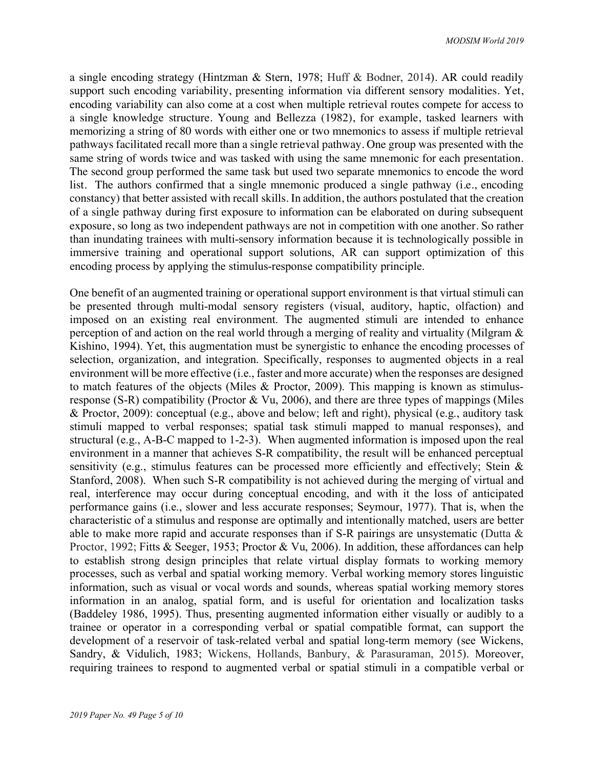a single encoding strategy (Hintzman & Stern, 1978; Huff & Bodner, 2014). AR could readily support such encoding variability, presenting information via different sensory modalities. Yet, encoding variability can also come at a cost when multiple retrieval routes compete for access to a single knowledge structure. Young and Bellezza (1982), for example, tasked learners with memorizing a string of 80 words with either one or two mnemonics to assess if multiple retrieval pathways facilitated recall more than a single retrieval pathway. One group was presented with the same string of words twice and was tasked with using the same mnemonic for each presentation. The second group performed the same task but used two separate mnemonics to encode the word list. The authors confirmed that a single mnemonic produced a single pathway (i.e., encoding constancy) that better assisted with recall skills. In addition, the authors postulated that the creation of a single pathway during first exposure to information can be elaborated on during subsequent exposure, so long as two independent pathways are not in competition with one another. So rather than inundating trainees with multi-sensory information because it is technologically possible in immersive training and operational support solutions, AR can support optimization of this encoding process by applying the stimulus-response compatibility principle.

One benefit of an augmented training or operational support environment is that virtual stimuli can be presented through multi-modal sensory registers (visual, auditory, haptic, olfaction) and imposed on an existing real environment. The augmented stimuli are intended to enhance perception of and action on the real world through a merging of reality and virtuality (Milgram & Kishino, 1994). Yet, this augmentation must be synergistic to enhance the encoding processes of selection, organization, and integration. Specifically, responses to augmented objects in a real environment will be more effective (i.e., faster and more accurate) when the responses are designed to match features of the objects (Miles & Proctor, 2009). This mapping is known as stimulusresponse (S-R) compatibility (Proctor & Vu, 2006), and there are three types of mappings (Miles & Proctor, 2009): conceptual (e.g., above and below; left and right), physical (e.g., auditory task stimuli mapped to verbal responses; spatial task stimuli mapped to manual responses), and structural (e.g., A-B-C mapped to 1-2-3). When augmented information is imposed upon the real environment in a manner that achieves S-R compatibility, the result will be enhanced perceptual sensitivity (e.g., stimulus features can be processed more efficiently and effectively; Stein & Stanford, 2008). When such S-R compatibility is not achieved during the merging of virtual and real, interference may occur during conceptual encoding, and with it the loss of anticipated performance gains (i.e., slower and less accurate responses; Seymour, 1977). That is, when the characteristic of a stimulus and response are optimally and intentionally matched, users are better able to make more rapid and accurate responses than if S-R pairings are unsystematic (Dutta & Proctor, 1992; Fitts & Seeger, 1953; Proctor & Vu, 2006). In addition, these affordances can help to establish strong design principles that relate virtual display formats to working memory processes, such as verbal and spatial working memory. Verbal working memory stores linguistic information, such as visual or vocal words and sounds, whereas spatial working memory stores information in an analog, spatial form, and is useful for orientation and localization tasks (Baddeley 1986, 1995). Thus, presenting augmented information either visually or audibly to a trainee or operator in a corresponding verbal or spatial compatible format, can support the development of a reservoir of task-related verbal and spatial long-term memory (see Wickens, Sandry, & Vidulich, 1983; Wickens, Hollands, Banbury, & Parasuraman, 2015). Moreover, requiring trainees to respond to augmented verbal or spatial stimuli in a compatible verbal or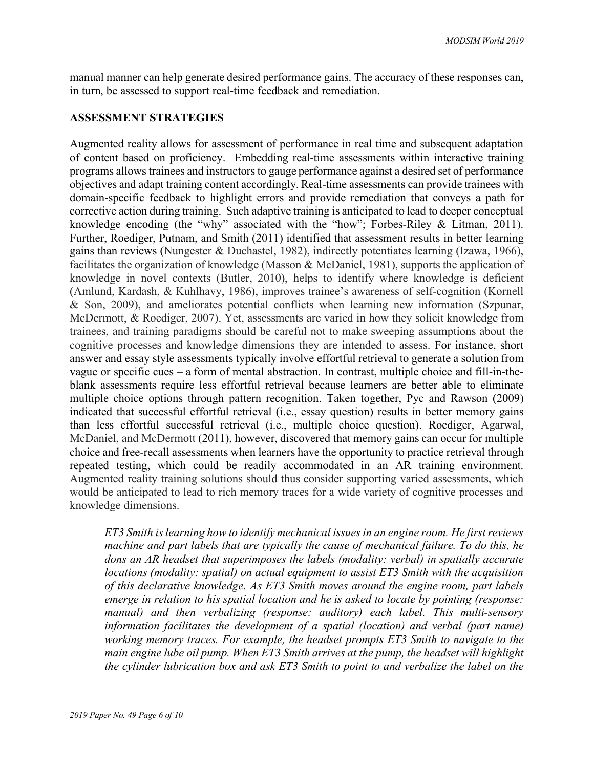manual manner can help generate desired performance gains. The accuracy of these responses can, in turn, be assessed to support real-time feedback and remediation.

### **ASSESSMENT STRATEGIES**

Augmented reality allows for assessment of performance in real time and subsequent adaptation of content based on proficiency. Embedding real-time assessments within interactive training programs allows trainees and instructors to gauge performance against a desired set of performance objectives and adapt training content accordingly. Real-time assessments can provide trainees with domain-specific feedback to highlight errors and provide remediation that conveys a path for corrective action during training. Such adaptive training is anticipated to lead to deeper conceptual knowledge encoding (the "why" associated with the "how"; Forbes-Riley & Litman, 2011). Further, Roediger, Putnam, and Smith (2011) identified that assessment results in better learning gains than reviews (Nungester & Duchastel, 1982), indirectly potentiates learning (Izawa, 1966), facilitates the organization of knowledge (Masson & McDaniel, 1981), supports the application of knowledge in novel contexts (Butler, 2010), helps to identify where knowledge is deficient (Amlund, Kardash, & Kuhlhavy, 1986), improves trainee's awareness of self-cognition (Kornell & Son, 2009), and ameliorates potential conflicts when learning new information (Szpunar, McDermott, & Roediger, 2007). Yet, assessments are varied in how they solicit knowledge from trainees, and training paradigms should be careful not to make sweeping assumptions about the cognitive processes and knowledge dimensions they are intended to assess. For instance, short answer and essay style assessments typically involve effortful retrieval to generate a solution from vague or specific cues – a form of mental abstraction. In contrast, multiple choice and fill-in-theblank assessments require less effortful retrieval because learners are better able to eliminate multiple choice options through pattern recognition. Taken together, Pyc and Rawson (2009) indicated that successful effortful retrieval (i.e., essay question) results in better memory gains than less effortful successful retrieval (i.e., multiple choice question). Roediger, Agarwal, McDaniel, and McDermott (2011), however, discovered that memory gains can occur for multiple choice and free-recall assessments when learners have the opportunity to practice retrieval through repeated testing, which could be readily accommodated in an AR training environment. Augmented reality training solutions should thus consider supporting varied assessments, which would be anticipated to lead to rich memory traces for a wide variety of cognitive processes and knowledge dimensions.

*ET3 Smith is learning how to identify mechanical issues in an engine room. He first reviews machine and part labels that are typically the cause of mechanical failure. To do this, he dons an AR headset that superimposes the labels (modality: verbal) in spatially accurate locations (modality: spatial) on actual equipment to assist ET3 Smith with the acquisition of this declarative knowledge. As ET3 Smith moves around the engine room, part labels emerge in relation to his spatial location and he is asked to locate by pointing (response: manual) and then verbalizing (response: auditory) each label. This multi-sensory information facilitates the development of a spatial (location) and verbal (part name) working memory traces. For example, the headset prompts ET3 Smith to navigate to the main engine lube oil pump. When ET3 Smith arrives at the pump, the headset will highlight the cylinder lubrication box and ask ET3 Smith to point to and verbalize the label on the*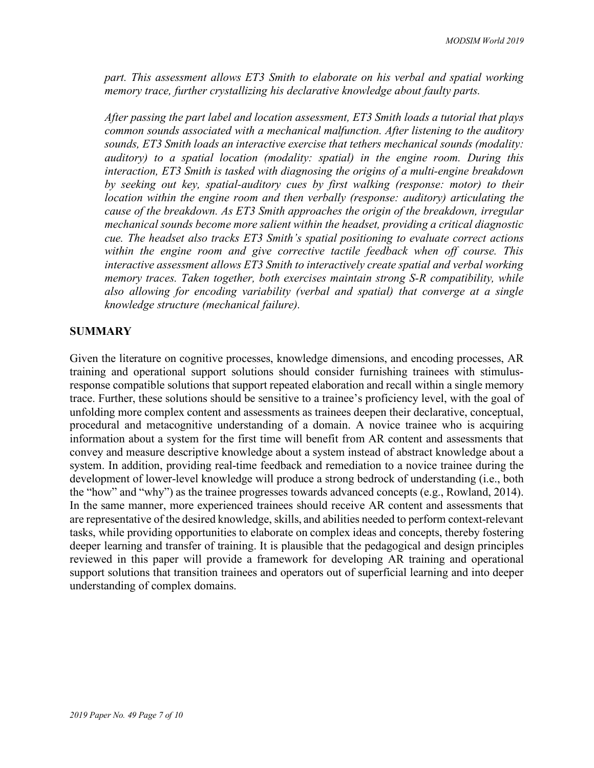*part. This assessment allows ET3 Smith to elaborate on his verbal and spatial working memory trace, further crystallizing his declarative knowledge about faulty parts.* 

*After passing the part label and location assessment, ET3 Smith loads a tutorial that plays common sounds associated with a mechanical malfunction. After listening to the auditory sounds, ET3 Smith loads an interactive exercise that tethers mechanical sounds (modality: auditory) to a spatial location (modality: spatial) in the engine room. During this interaction, ET3 Smith is tasked with diagnosing the origins of a multi-engine breakdown by seeking out key, spatial-auditory cues by first walking (response: motor) to their location within the engine room and then verbally (response: auditory) articulating the cause of the breakdown. As ET3 Smith approaches the origin of the breakdown, irregular mechanical sounds become more salient within the headset, providing a critical diagnostic cue. The headset also tracks ET3 Smith's spatial positioning to evaluate correct actions within the engine room and give corrective tactile feedback when off course. This interactive assessment allows ET3 Smith to interactively create spatial and verbal working memory traces. Taken together, both exercises maintain strong S-R compatibility, while also allowing for encoding variability (verbal and spatial) that converge at a single knowledge structure (mechanical failure).* 

### **SUMMARY**

Given the literature on cognitive processes, knowledge dimensions, and encoding processes, AR training and operational support solutions should consider furnishing trainees with stimulusresponse compatible solutions that support repeated elaboration and recall within a single memory trace. Further, these solutions should be sensitive to a trainee's proficiency level, with the goal of unfolding more complex content and assessments as trainees deepen their declarative, conceptual, procedural and metacognitive understanding of a domain. A novice trainee who is acquiring information about a system for the first time will benefit from AR content and assessments that convey and measure descriptive knowledge about a system instead of abstract knowledge about a system. In addition, providing real-time feedback and remediation to a novice trainee during the development of lower-level knowledge will produce a strong bedrock of understanding (i.e., both the "how" and "why") as the trainee progresses towards advanced concepts (e.g., Rowland, 2014). In the same manner, more experienced trainees should receive AR content and assessments that are representative of the desired knowledge, skills, and abilities needed to perform context-relevant tasks, while providing opportunities to elaborate on complex ideas and concepts, thereby fostering deeper learning and transfer of training. It is plausible that the pedagogical and design principles reviewed in this paper will provide a framework for developing AR training and operational support solutions that transition trainees and operators out of superficial learning and into deeper understanding of complex domains.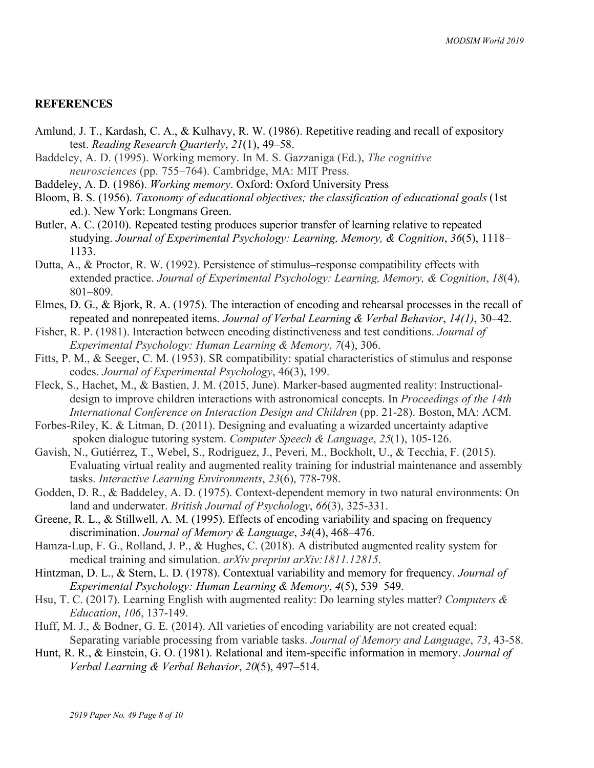### **REFERENCES**

- Amlund, J. T., Kardash, C. A., & Kulhavy, R. W. (1986). Repetitive reading and recall of expository test. *Reading Research Quarterly*, *21*(1), 49–58.
- Baddeley, A. D. (1995). Working memory. In M. S. Gazzaniga (Ed.), *The cognitive neurosciences* (pp. 755–764). Cambridge, MA: MIT Press.
- Baddeley, A. D. (1986). *Working memory*. Oxford: Oxford University Press
- Bloom, B. S. (1956). *Taxonomy of educational objectives; the classification of educational goals* (1st ed.). New York: Longmans Green.
- Butler, A. C. (2010). Repeated testing produces superior transfer of learning relative to repeated studying. *Journal of Experimental Psychology: Learning, Memory, & Cognition*, *36*(5), 1118– 1133.
- Dutta, A., & Proctor, R. W. (1992). Persistence of stimulus–response compatibility effects with extended practice. *Journal of Experimental Psychology: Learning, Memory, & Cognition*, *18*(4), 801–809.
- Elmes, D. G., & Bjork, R. A. (1975). The interaction of encoding and rehearsal processes in the recall of repeated and nonrepeated items. *Journal of Verbal Learning & Verbal Behavior*, *14(1)*, 30–42.
- Fisher, R. P. (1981). Interaction between encoding distinctiveness and test conditions. *Journal of Experimental Psychology: Human Learning & Memory*, *7*(4), 306.
- Fitts, P. M., & Seeger, C. M. (1953). SR compatibility: spatial characteristics of stimulus and response codes. *Journal of Experimental Psychology*, 46(3), 199.
- Fleck, S., Hachet, M., & Bastien, J. M. (2015, June). Marker-based augmented reality: Instructionaldesign to improve children interactions with astronomical concepts. In *Proceedings of the 14th International Conference on Interaction Design and Children* (pp. 21-28). Boston, MA: ACM.
- Forbes-Riley, K. & Litman, D. (2011). Designing and evaluating a wizarded uncertainty adaptive spoken dialogue tutoring system. *Computer Speech & Language*, *25*(1), 105-126.
- Gavish, N., Gutiérrez, T., Webel, S., Rodríguez, J., Peveri, M., Bockholt, U., & Tecchia, F. (2015). Evaluating virtual reality and augmented reality training for industrial maintenance and assembly tasks. *Interactive Learning Environments*, *23*(6), 778-798.
- Godden, D. R., & Baddeley, A. D. (1975). Context-dependent memory in two natural environments: On land and underwater. *British Journal of Psychology*, *66*(3), 325-331.
- Greene, R. L., & Stillwell, A. M. (1995). Effects of encoding variability and spacing on frequency discrimination. *Journal of Memory & Language*, *34*(4), 468–476.
- Hamza-Lup, F. G., Rolland, J. P., & Hughes, C. (2018). A distributed augmented reality system for medical training and simulation. *arXiv preprint arXiv:1811.12815*.
- Hintzman, D. L., & Stern, L. D. (1978). Contextual variability and memory for frequency. *Journal of Experimental Psychology: Human Learning & Memory*, *4*(5), 539–549.
- Hsu, T. C. (2017). Learning English with augmented reality: Do learning styles matter? *Computers & Education*, *106*, 137-149.
- Huff, M. J., & Bodner, G. E. (2014). All varieties of encoding variability are not created equal: Separating variable processing from variable tasks. *Journal of Memory and Language*, *73*, 43-58.
- Hunt, R. R., & Einstein, G. O. (1981). Relational and item-specific information in memory. *Journal of Verbal Learning & Verbal Behavior*, *20*(5), 497–514.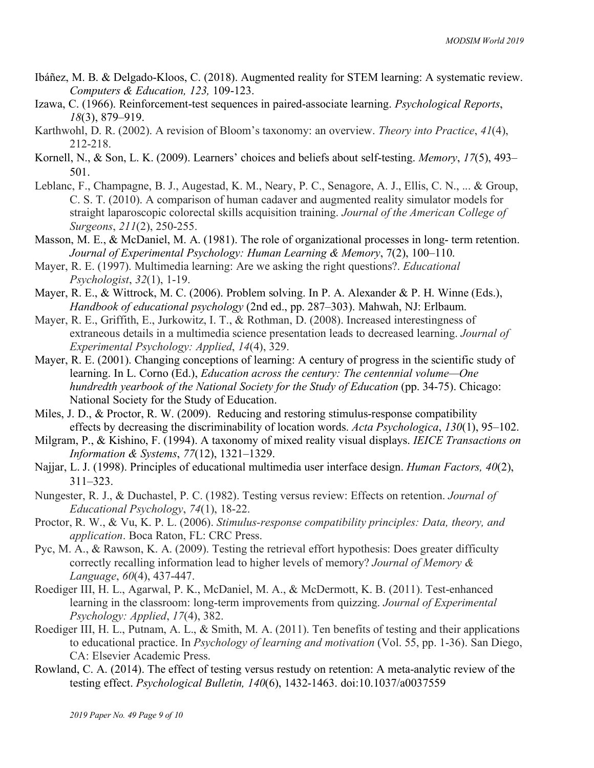- Ibáñez, M. B. & Delgado-Kloos, C. (2018). Augmented reality for STEM learning: A systematic review. *Computers & Education, 123,* 109-123.
- Izawa, C. (1966). Reinforcement-test sequences in paired-associate learning. *Psychological Reports*, *18*(3), 879–919.
- Karthwohl, D. R. (2002). A revision of Bloom's taxonomy: an overview. *Theory into Practice*, *41*(4), 212-218.
- Kornell, N., & Son, L. K. (2009). Learners' choices and beliefs about self-testing. *Memory*, *17*(5), 493– 501.
- Leblanc, F., Champagne, B. J., Augestad, K. M., Neary, P. C., Senagore, A. J., Ellis, C. N., ... & Group, C. S. T. (2010). A comparison of human cadaver and augmented reality simulator models for straight laparoscopic colorectal skills acquisition training. *Journal of the American College of Surgeons*, *211*(2), 250-255.
- Masson, M. E., & McDaniel, M. A. (1981). The role of organizational processes in long- term retention. *Journal of Experimental Psychology: Human Learning & Memory*, 7(2), 100–110.
- Mayer, R. E. (1997). Multimedia learning: Are we asking the right questions?. *Educational Psychologist*, *32*(1), 1-19.
- Mayer, R. E., & Wittrock, M. C. (2006). Problem solving. In P. A. Alexander & P. H. Winne (Eds.), *Handbook of educational psychology* (2nd ed., pp. 287–303). Mahwah, NJ: Erlbaum.
- Mayer, R. E., Griffith, E., Jurkowitz, I. T., & Rothman, D. (2008). Increased interestingness of extraneous details in a multimedia science presentation leads to decreased learning. *Journal of Experimental Psychology: Applied*, *14*(4), 329.
- Mayer, R. E. (2001). Changing conceptions of learning: A century of progress in the scientific study of learning. In L. Corno (Ed.), *Education across the century: The centennial volume—One hundredth yearbook of the National Society for the Study of Education* (pp. 34-75). Chicago: National Society for the Study of Education.
- Miles, J. D., & Proctor, R. W. (2009). Reducing and restoring stimulus-response compatibility effects by decreasing the discriminability of location words. *Acta Psychologica*, *130*(1), 95–102.
- Milgram, P., & Kishino, F. (1994). A taxonomy of mixed reality visual displays. *IEICE Transactions on Information & Systems*, *77*(12), 1321–1329.
- Najjar, L. J. (1998). Principles of educational multimedia user interface design. *Human Factors, 40*(2), 311–323.
- Nungester, R. J., & Duchastel, P. C. (1982). Testing versus review: Effects on retention. *Journal of Educational Psychology*, *74*(1), 18-22.
- Proctor, R. W., & Vu, K. P. L. (2006). *Stimulus-response compatibility principles: Data, theory, and application*. Boca Raton, FL: CRC Press.
- Pyc, M. A., & Rawson, K. A. (2009). Testing the retrieval effort hypothesis: Does greater difficulty correctly recalling information lead to higher levels of memory? *Journal of Memory & Language*, *60*(4), 437-447.
- Roediger III, H. L., Agarwal, P. K., McDaniel, M. A., & McDermott, K. B. (2011). Test-enhanced learning in the classroom: long-term improvements from quizzing. *Journal of Experimental Psychology: Applied*, *17*(4), 382.
- Roediger III, H. L., Putnam, A. L., & Smith, M. A. (2011). Ten benefits of testing and their applications to educational practice. In *Psychology of learning and motivation* (Vol. 55, pp. 1-36). San Diego, CA: Elsevier Academic Press.
- Rowland, C. A. (2014). The effect of testing versus restudy on retention: A meta-analytic review of the testing effect. *Psychological Bulletin, 140*(6), 1432-1463. doi:10.1037/a0037559